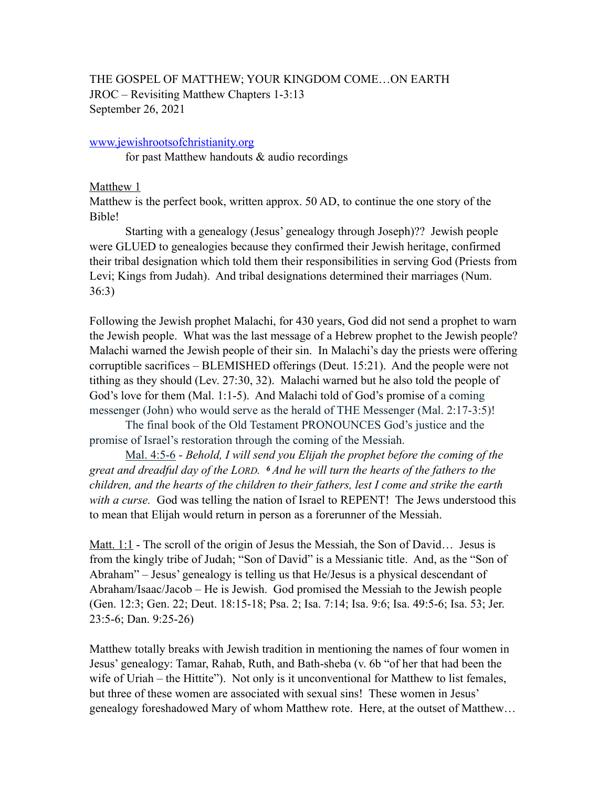# THE GOSPEL OF MATTHEW; YOUR KINGDOM COME…ON EARTH JROC – Revisiting Matthew Chapters 1-3:13 September 26, 2021

## [www.jewishrootsofchristianity.org](http://www.jewishrootsofchristianity.org)

for past Matthew handouts & audio recordings

### Matthew 1

Matthew is the perfect book, written approx. 50 AD, to continue the one story of the Bible!

Starting with a genealogy (Jesus' genealogy through Joseph)?? Jewish people were GLUED to genealogies because they confirmed their Jewish heritage, confirmed their tribal designation which told them their responsibilities in serving God (Priests from Levi; Kings from Judah). And tribal designations determined their marriages (Num. 36:3)

Following the Jewish prophet Malachi, for 430 years, God did not send a prophet to warn the Jewish people. What was the last message of a Hebrew prophet to the Jewish people? Malachi warned the Jewish people of their sin. In Malachi's day the priests were offering corruptible sacrifices – BLEMISHED offerings (Deut. 15:21). And the people were not tithing as they should (Lev. 27:30, 32). Malachi warned but he also told the people of God's love for them (Mal. 1:1-5). And Malachi told of God's promise of a coming messenger (John) who would serve as the herald of THE Messenger (Mal. 2:17-3:5)!

The final book of the Old Testament PRONOUNCES God's justice and the promise of Israel's restoration through the coming of the Messiah.

Mal. 4:5-6 - *Behold, I will send you Elijah the prophet before the coming of the great and dreadful day of the LORD. 6 And he will turn the hearts of the fathers to the children, and the hearts of the children to their fathers, lest I come and strike the earth with a curse.* God was telling the nation of Israel to REPENT! The Jews understood this to mean that Elijah would return in person as a forerunner of the Messiah.

Matt. 1:1 - The scroll of the origin of Jesus the Messiah, the Son of David… Jesus is from the kingly tribe of Judah; "Son of David" is a Messianic title. And, as the "Son of Abraham" – Jesus' genealogy is telling us that He/Jesus is a physical descendant of Abraham/Isaac/Jacob – He is Jewish. God promised the Messiah to the Jewish people (Gen. 12:3; Gen. 22; Deut. 18:15-18; Psa. 2; Isa. 7:14; Isa. 9:6; Isa. 49:5-6; Isa. 53; Jer. 23:5-6; Dan. 9:25-26)

Matthew totally breaks with Jewish tradition in mentioning the names of four women in Jesus' genealogy: Tamar, Rahab, Ruth, and Bath-sheba (v. 6b "of her that had been the wife of Uriah – the Hittite"). Not only is it unconventional for Matthew to list females, but three of these women are associated with sexual sins! These women in Jesus' genealogy foreshadowed Mary of whom Matthew rote. Here, at the outset of Matthew…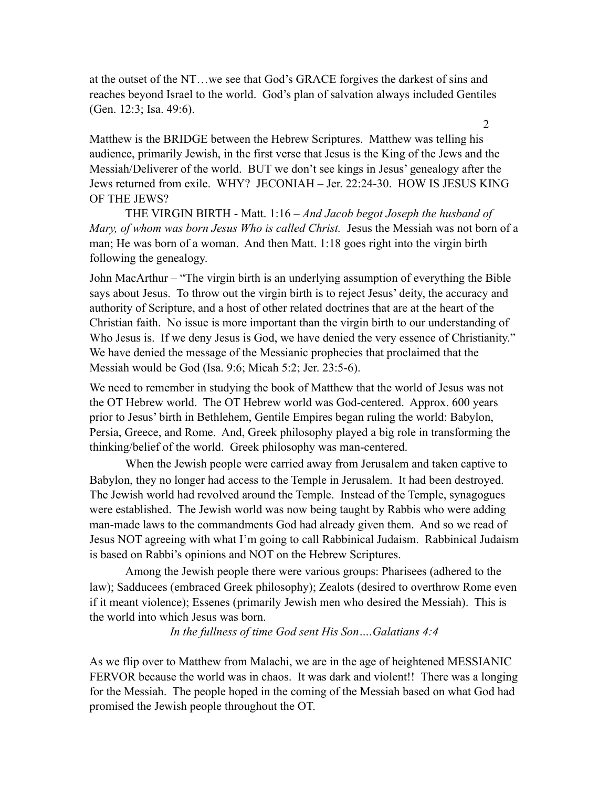at the outset of the NT…we see that God's GRACE forgives the darkest of sins and reaches beyond Israel to the world. God's plan of salvation always included Gentiles (Gen. 12:3; Isa. 49:6).

Matthew is the BRIDGE between the Hebrew Scriptures. Matthew was telling his audience, primarily Jewish, in the first verse that Jesus is the King of the Jews and the Messiah/Deliverer of the world. BUT we don't see kings in Jesus' genealogy after the Jews returned from exile. WHY? JECONIAH – Jer. 22:24-30. HOW IS JESUS KING OF THE JEWS?

 THE VIRGIN BIRTH - Matt. 1:16 – *And Jacob begot Joseph the husband of Mary, of whom was born Jesus Who is called Christ.* Jesus the Messiah was not born of a man; He was born of a woman. And then Matt. 1:18 goes right into the virgin birth following the genealogy.

John MacArthur – "The virgin birth is an underlying assumption of everything the Bible says about Jesus. To throw out the virgin birth is to reject Jesus' deity, the accuracy and authority of Scripture, and a host of other related doctrines that are at the heart of the Christian faith. No issue is more important than the virgin birth to our understanding of Who Jesus is. If we deny Jesus is God, we have denied the very essence of Christianity." We have denied the message of the Messianic prophecies that proclaimed that the Messiah would be God (Isa. 9:6; Micah 5:2; Jer. 23:5-6).

We need to remember in studying the book of Matthew that the world of Jesus was not the OT Hebrew world. The OT Hebrew world was God-centered. Approx. 600 years prior to Jesus' birth in Bethlehem, Gentile Empires began ruling the world: Babylon, Persia, Greece, and Rome. And, Greek philosophy played a big role in transforming the thinking/belief of the world. Greek philosophy was man-centered.

When the Jewish people were carried away from Jerusalem and taken captive to Babylon, they no longer had access to the Temple in Jerusalem. It had been destroyed. The Jewish world had revolved around the Temple. Instead of the Temple, synagogues were established. The Jewish world was now being taught by Rabbis who were adding man-made laws to the commandments God had already given them. And so we read of Jesus NOT agreeing with what I'm going to call Rabbinical Judaism. Rabbinical Judaism is based on Rabbi's opinions and NOT on the Hebrew Scriptures.

Among the Jewish people there were various groups: Pharisees (adhered to the law); Sadducees (embraced Greek philosophy); Zealots (desired to overthrow Rome even if it meant violence); Essenes (primarily Jewish men who desired the Messiah). This is the world into which Jesus was born.

*In the fullness of time God sent His Son….Galatians 4:4* 

As we flip over to Matthew from Malachi, we are in the age of heightened MESSIANIC FERVOR because the world was in chaos. It was dark and violent!! There was a longing for the Messiah. The people hoped in the coming of the Messiah based on what God had promised the Jewish people throughout the OT.

2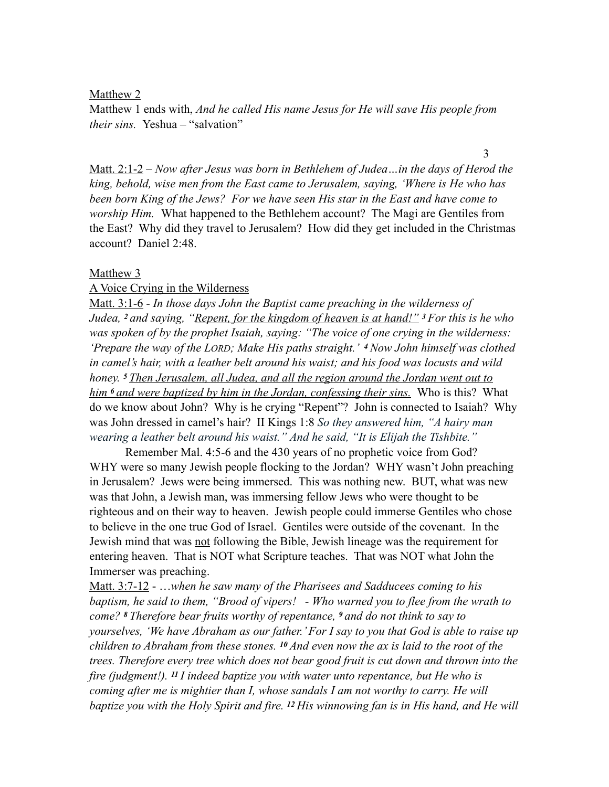Matthew 2

Matthew 1 ends with, *And he called His name Jesus for He will save His people from their sins.* Yeshua – "salvation"

Matt. 2:1-2 – *Now after Jesus was born in Bethlehem of Judea…in the days of Herod the king, behold, wise men from the East came to Jerusalem, saying, 'Where is He who has been born King of the Jews? For we have seen His star in the East and have come to worship Him.* What happened to the Bethlehem account? The Magi are Gentiles from the East? Why did they travel to Jerusalem? How did they get included in the Christmas account? Daniel 2:48.

### Matthew<sub>3</sub>

#### A Voice Crying in the Wilderness

Matt. 3:1-6 - *In those days John the Baptist came preaching in the wilderness of Judea, 2 and saying, "Repent, for the kingdom of heaven is at hand!" <sup>3</sup>For this is he who was spoken of by the prophet Isaiah, saying: "The voice of one crying in the wilderness: 'Prepare the way of the LORD; Make His paths straight.' 4 Now John himself was clothed in camel's hair, with a leather belt around his waist; and his food was locusts and wild honey. 5 Then Jerusalem, all Judea, and all the region around the Jordan went out to him 6 and were baptized by him in the Jordan, confessing their sins.* Who is this? What do we know about John? Why is he crying "Repent"? John is connected to Isaiah? Why was John dressed in camel's hair? II Kings 1:8 *So they answered him, "A hairy man wearing a leather belt around his waist." And he said, "It is Elijah the Tishbite."* 

 Remember Mal. 4:5-6 and the 430 years of no prophetic voice from God? WHY were so many Jewish people flocking to the Jordan? WHY wasn't John preaching in Jerusalem? Jews were being immersed. This was nothing new. BUT, what was new was that John, a Jewish man, was immersing fellow Jews who were thought to be righteous and on their way to heaven. Jewish people could immerse Gentiles who chose to believe in the one true God of Israel. Gentiles were outside of the covenant. In the Jewish mind that was not following the Bible, Jewish lineage was the requirement for entering heaven. That is NOT what Scripture teaches. That was NOT what John the Immerser was preaching.

Matt. 3:7-12 - …*when he saw many of the Pharisees and Sadducees coming to his baptism, he said to them, "Brood of vipers! - Who warned you to flee from the wrath to come? 8 Therefore bear fruits worthy of repentance, 9 and do not think to say to yourselves, 'We have Abraham as our father.' For I say to you that God is able to raise up children to Abraham from these stones. 10 And even now the ax is laid to the root of the trees. Therefore every tree which does not bear good fruit is cut down and thrown into the fire (judgment!). 11 I indeed baptize you with water unto repentance, but He who is coming after me is mightier than I, whose sandals I am not worthy to carry. He will baptize you with the Holy Spirit and fire. 12 His winnowing fan is in His hand, and He will* 

3